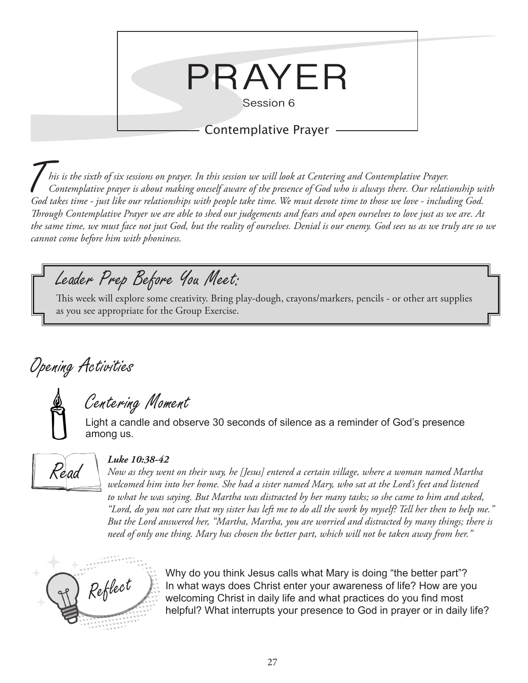

Contemplative Prayer

T*his is the sixth of six sessions on prayer. In this session we will look at Centering and Contemplative Prayer. Contemplative prayer is about making oneself aware of the presence of God who is always there. Our relationship with God takes time - just like our relationships with people take time. We must devote time to those we love - including God. Through Contemplative Prayer we are able to shed our judgements and fears and open ourselves to love just as we are. At the same time, we must face not just God, but the reality of ourselves. Denial is our enemy. God sees us as we truly are so we cannot come before him with phoniness.* 

### Leader Prep Before You Meet:

This week will explore some creativity. Bring play-dough, crayons/markers, pencils - or other art supplies as you see appropriate for the Group Exercise.

# Opening Activities

### Centering Moment

Light a candle and observe 30 seconds of silence as a reminder of God's presence among us.



### *Luke 10:38-42*

*Now as they went on their way, he [Jesus] entered a certain village, where a woman named Martha welcomed him into her home. She had a sister named Mary, who sat at the Lord's feet and listened to what he was saying. But Martha was distracted by her many tasks; so she came to him and asked, "Lord, do you not care that my sister has left me to do all the work by myself? Tell her then to help me." But the Lord answered her, "Martha, Martha, you are worried and distracted by many things; there is need of only one thing. Mary has chosen the better part, which will not be taken away from her."*



Why do you think Jesus calls what Mary is doing "the better part"?<br>In what ways does Christ enter your awareness of life? How are your awareness of life? How are your ind most In what ways does Christ enter your awareness of life? How are you welcoming Christ in daily life and what practices do you find most helpful? What interrupts your presence to God in prayer or in daily life?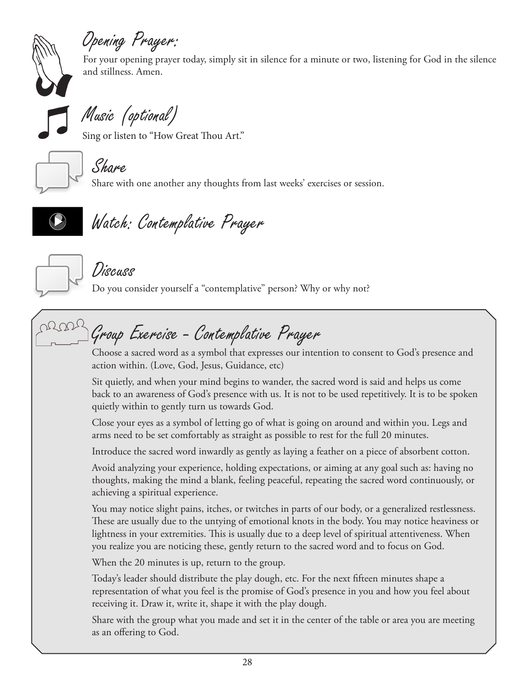

# Opening Prayer:

For your opening prayer today, simply sit in silence for a minute or two, listening for God in the silence and stillness. Amen.



Music (optional)

Sing or listen to "How Great Thou Art."



Share

Share with one another any thoughts from last weeks' exercises or session.



# Watch: Contemplative Prayer



### Discuss

Do you consider yourself a "contemplative" person? Why or why not?



Choose a sacred word as a symbol that expresses our intention to consent to God's presence and action within. (Love, God, Jesus, Guidance, etc)

Sit quietly, and when your mind begins to wander, the sacred word is said and helps us come back to an awareness of God's presence with us. It is not to be used repetitively. It is to be spoken quietly within to gently turn us towards God.

Close your eyes as a symbol of letting go of what is going on around and within you. Legs and arms need to be set comfortably as straight as possible to rest for the full 20 minutes.

Introduce the sacred word inwardly as gently as laying a feather on a piece of absorbent cotton.

Avoid analyzing your experience, holding expectations, or aiming at any goal such as: having no thoughts, making the mind a blank, feeling peaceful, repeating the sacred word continuously, or achieving a spiritual experience.

You may notice slight pains, itches, or twitches in parts of our body, or a generalized restlessness. These are usually due to the untying of emotional knots in the body. You may notice heaviness or lightness in your extremities. This is usually due to a deep level of spiritual attentiveness. When you realize you are noticing these, gently return to the sacred word and to focus on God.

When the 20 minutes is up, return to the group.

Today's leader should distribute the play dough, etc. For the next fifteen minutes shape a representation of what you feel is the promise of God's presence in you and how you feel about receiving it. Draw it, write it, shape it with the play dough.

Share with the group what you made and set it in the center of the table or area you are meeting as an offering to God.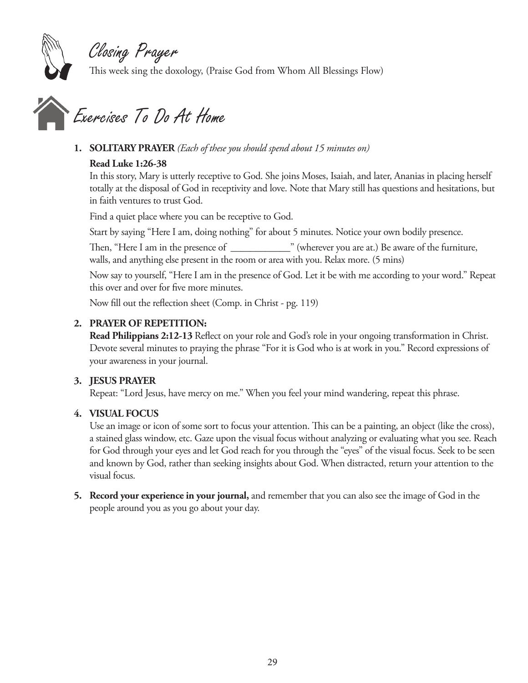

## Closing Prayer

This week sing the doxology, (Praise God from Whom All Blessings Flow)



## Exercises To Do At Home

### **1. SOLITARY PRAYER** *(Each of these you should spend about 15 minutes on)*

### **Read Luke 1:26-38**

In this story, Mary is utterly receptive to God. She joins Moses, Isaiah, and later, Ananias in placing herself totally at the disposal of God in receptivity and love. Note that Mary still has questions and hesitations, but in faith ventures to trust God.

Find a quiet place where you can be receptive to God.

Start by saying "Here I am, doing nothing" for about 5 minutes. Notice your own bodily presence.

Then, "Here I am in the presence of wherever you are at.) Be aware of the furniture, walls, and anything else present in the room or area with you. Relax more. (5 mins)

Now say to yourself, "Here I am in the presence of God. Let it be with me according to your word." Repeat this over and over for five more minutes.

Now fill out the reflection sheet (Comp. in Christ - pg. 119)

### **2. PRAYER OF REPETITION:**

**Read Philippians 2:12-13** Reflect on your role and God's role in your ongoing transformation in Christ. Devote several minutes to praying the phrase "For it is God who is at work in you." Record expressions of your awareness in your journal.

### **3. JESUS PRAYER**

Repeat: "Lord Jesus, have mercy on me." When you feel your mind wandering, repeat this phrase.

### **4. VISUAL FOCUS**

Use an image or icon of some sort to focus your attention. This can be a painting, an object (like the cross), a stained glass window, etc. Gaze upon the visual focus without analyzing or evaluating what you see. Reach for God through your eyes and let God reach for you through the "eyes" of the visual focus. Seek to be seen and known by God, rather than seeking insights about God. When distracted, return your attention to the visual focus.

**5. Record your experience in your journal,** and remember that you can also see the image of God in the people around you as you go about your day.